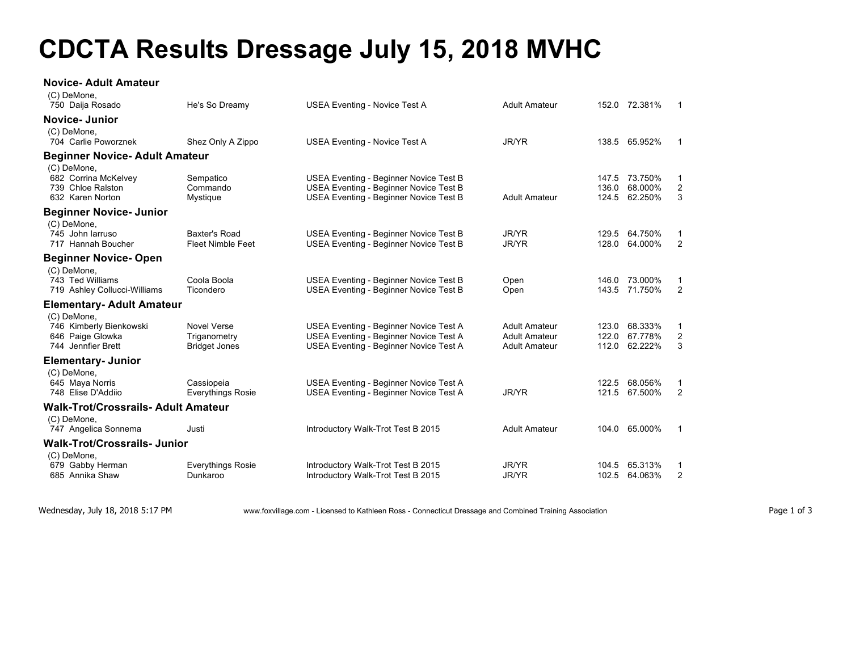## **CDCTA Results Dressage July 15, 2018 MVHC**

## **Novice- Adult Amateur**  $(0)$  DeM

| (C) Demone,<br>750 Daija Rosado                                                  | He's So Dreamy                                             | <b>USEA Eventing - Novice Test A</b>                                                                                       | <b>Adult Amateur</b>                                                 |                         | 152.0 72.381%                       | -1                                 |
|----------------------------------------------------------------------------------|------------------------------------------------------------|----------------------------------------------------------------------------------------------------------------------------|----------------------------------------------------------------------|-------------------------|-------------------------------------|------------------------------------|
| <b>Novice-Junior</b>                                                             |                                                            |                                                                                                                            |                                                                      |                         |                                     |                                    |
| (C) DeMone.<br>704 Carlie Poworznek                                              |                                                            |                                                                                                                            | <b>JR/YR</b>                                                         |                         | 138.5 65.952%                       | $\overline{1}$                     |
|                                                                                  | Shez Only A Zippo                                          | <b>USEA Eventing - Novice Test A</b>                                                                                       |                                                                      |                         |                                     |                                    |
| <b>Beginner Novice- Adult Amateur</b><br>(C) DeMone,                             |                                                            |                                                                                                                            |                                                                      |                         |                                     |                                    |
| 682 Corrina McKelvey<br>739 Chloe Ralston<br>632 Karen Norton                    | Sempatico<br>Commando<br>Mystique                          | USEA Eventing - Beginner Novice Test B<br>USEA Eventing - Beginner Novice Test B<br>USEA Eventing - Beginner Novice Test B | <b>Adult Amateur</b>                                                 | 136.0<br>124.5          | 147.5 73.750%<br>68.000%<br>62.250% | -1<br>$\overline{c}$<br>3          |
| <b>Beginner Novice- Junior</b>                                                   |                                                            |                                                                                                                            |                                                                      |                         |                                     |                                    |
| (C) DeMone,<br>745 John Jarruso<br>717 Hannah Boucher                            | <b>Baxter's Road</b><br><b>Fleet Nimble Feet</b>           | USEA Eventing - Beginner Novice Test B<br>USEA Eventing - Beginner Novice Test B                                           | JR/YR<br><b>JR/YR</b>                                                | 129.5<br>128.0          | 64.750%<br>64.000%                  | -1<br>$\overline{2}$               |
| <b>Beginner Novice-Open</b>                                                      |                                                            |                                                                                                                            |                                                                      |                         |                                     |                                    |
| (C) DeMone,<br>743 Ted Williams<br>719 Ashley Collucci-Williams                  | Coola Boola<br>Ticondero                                   | USEA Eventing - Beginner Novice Test B<br>USEA Eventing - Beginner Novice Test B                                           | Open<br>Open                                                         | 143.5                   | 146.0 73.000%<br>71.750%            | -1<br>2                            |
| Elementary- Adult Amateur                                                        |                                                            |                                                                                                                            |                                                                      |                         |                                     |                                    |
| (C) DeMone,<br>746 Kimberly Bienkowski<br>646 Paige Glowka<br>744 Jennfier Brett | <b>Novel Verse</b><br>Triganometry<br><b>Bridget Jones</b> | USEA Eventing - Beginner Novice Test A<br>USEA Eventing - Beginner Novice Test A<br>USEA Eventing - Beginner Novice Test A | <b>Adult Amateur</b><br><b>Adult Amateur</b><br><b>Adult Amateur</b> | 123.0<br>122.0<br>112.0 | 68.333%<br>67.778%<br>62.222%       | $\mathbf 1$<br>$\overline{c}$<br>3 |
| <b>Elementary- Junior</b>                                                        |                                                            |                                                                                                                            |                                                                      |                         |                                     |                                    |
| (C) DeMone,<br>645 Maya Norris<br>748 Elise D'Addiio                             | Cassiopeia<br><b>Everythings Rosie</b>                     | USEA Eventing - Beginner Novice Test A<br>USEA Eventing - Beginner Novice Test A                                           | <b>JR/YR</b>                                                         | 122.5<br>121.5          | 68.056%<br>67.500%                  | -1<br>$\overline{2}$               |
| <b>Walk-Trot/Crossrails- Adult Amateur</b>                                       |                                                            |                                                                                                                            |                                                                      |                         |                                     |                                    |
| (C) DeMone,<br>747 Angelica Sonnema                                              | Justi                                                      | Introductory Walk-Trot Test B 2015                                                                                         | <b>Adult Amateur</b>                                                 |                         | 104.0 65.000%                       | $\mathbf 1$                        |
| <b>Walk-Trot/Crossrails-Junior</b>                                               |                                                            |                                                                                                                            |                                                                      |                         |                                     |                                    |
| (C) DeMone,<br>679 Gabby Herman<br>685 Annika Shaw                               | <b>Everythings Rosie</b><br>Dunkaroo                       | Introductory Walk-Trot Test B 2015<br>Introductory Walk-Trot Test B 2015                                                   | JR/YR<br><b>JR/YR</b>                                                | 102.5                   | 104.5 65.313%<br>64.063%            | -1<br>2                            |
|                                                                                  |                                                            |                                                                                                                            |                                                                      |                         |                                     |                                    |

Wednesday, July 18, 2018 5:17 PM www.foxvillage.com - Licensed to Kathleen Ross - Connecticut Dressage and Combined Training Association Page 1 of 3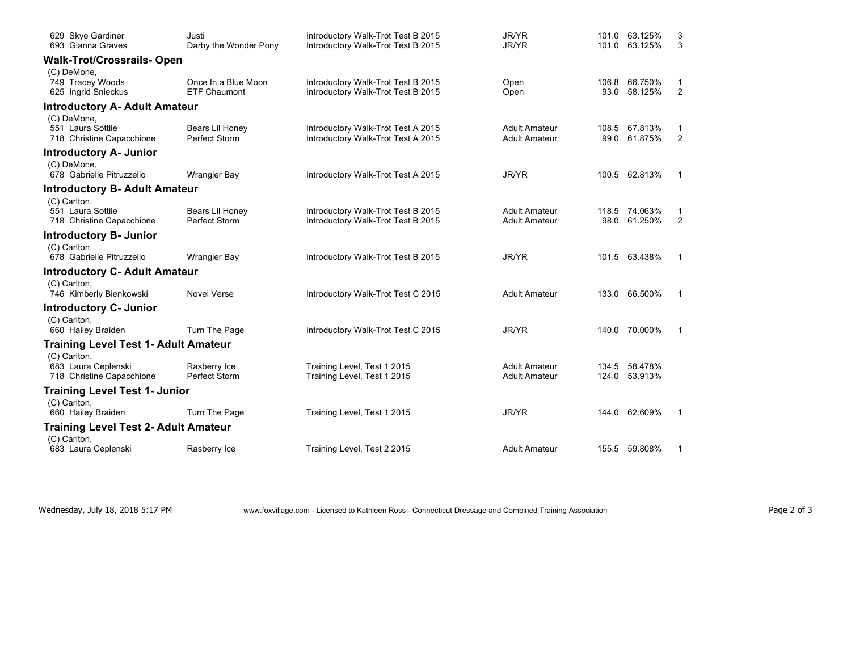| 629 Skye Gardiner<br>693 Gianna Graves                           | Justi<br>Darby the Wonder Pony      | Introductory Walk-Trot Test B 2015<br>Introductory Walk-Trot Test B 2015 | JR/YR<br>JR/YR                               | 101.0         | 63.125%<br>101.0 63.125%       | 3<br>3              |
|------------------------------------------------------------------|-------------------------------------|--------------------------------------------------------------------------|----------------------------------------------|---------------|--------------------------------|---------------------|
| <b>Walk-Trot/Crossrails- Open</b>                                |                                     |                                                                          |                                              |               |                                |                     |
| (C) DeMone,<br>749 Tracey Woods<br>625 Ingrid Snieckus           | Once In a Blue Moon<br>ETF Chaumont | Introductory Walk-Trot Test B 2015<br>Introductory Walk-Trot Test B 2015 | Open<br>Open                                 | 106.8<br>93.0 | 66.750%<br>58.125%             | 1<br>2              |
| <b>Introductory A- Adult Amateur</b>                             |                                     |                                                                          |                                              |               |                                |                     |
| (C) DeMone,<br>551 Laura Sottile<br>718 Christine Capacchione    | Bears Lil Honey<br>Perfect Storm    | Introductory Walk-Trot Test A 2015<br>Introductory Walk-Trot Test A 2015 | <b>Adult Amateur</b><br><b>Adult Amateur</b> | 108.5<br>99.0 | 67.813%<br>61.875%             | 1<br>$\overline{2}$ |
| <b>Introductory A- Junior</b>                                    |                                     |                                                                          |                                              |               |                                |                     |
| (C) DeMone,<br>678 Gabrielle Pitruzzello                         | <b>Wrangler Bay</b>                 | Introductory Walk-Trot Test A 2015                                       | JR/YR                                        |               | 100.5 62.813%                  | $\mathbf{1}$        |
| <b>Introductory B- Adult Amateur</b>                             |                                     |                                                                          |                                              |               |                                |                     |
| (C) Carlton,<br>551 Laura Sottile<br>718 Christine Capacchione   | Bears Lil Honey<br>Perfect Storm    | Introductory Walk-Trot Test B 2015<br>Introductory Walk-Trot Test B 2015 | <b>Adult Amateur</b><br><b>Adult Amateur</b> | 98.0          | 118.5 74.063%<br>61.250%       | 1<br>$\overline{2}$ |
| <b>Introductory B- Junior</b>                                    |                                     |                                                                          |                                              |               |                                |                     |
| (C) Carlton,<br>678 Gabrielle Pitruzzello                        | <b>Wrangler Bay</b>                 | Introductory Walk-Trot Test B 2015                                       | JR/YR                                        |               | 101.5 63.438%                  | $\mathbf{1}$        |
| <b>Introductory C- Adult Amateur</b>                             |                                     |                                                                          |                                              |               |                                |                     |
| (C) Carlton,<br>746 Kimberly Bienkowski                          | <b>Novel Verse</b>                  | Introductory Walk-Trot Test C 2015                                       | <b>Adult Amateur</b>                         |               | 133.0 66.500%                  | $\mathbf{1}$        |
| Introductory C- Junior                                           |                                     |                                                                          |                                              |               |                                |                     |
| (C) Carlton,<br>660 Hailey Braiden                               | Turn The Page                       | Introductory Walk-Trot Test C 2015                                       | JR/YR                                        |               | 140.0 70.000%                  | $\mathbf 1$         |
| <b>Training Level Test 1- Adult Amateur</b>                      |                                     |                                                                          |                                              |               |                                |                     |
| (C) Carlton,<br>683 Laura Ceplenski<br>718 Christine Capacchione | Rasberry Ice<br>Perfect Storm       | Training Level, Test 1 2015<br>Training Level, Test 1 2015               | <b>Adult Amateur</b><br><b>Adult Amateur</b> |               | 134.5 58.478%<br>124.0 53.913% |                     |
| <b>Training Level Test 1- Junior</b><br>(C) Carlton,             |                                     |                                                                          |                                              |               |                                |                     |
| 660 Hailey Braiden                                               | Turn The Page                       | Training Level, Test 1 2015                                              | JR/YR                                        |               | 144.0 62.609%                  | $\mathbf{1}$        |
| <b>Training Level Test 2- Adult Amateur</b>                      |                                     |                                                                          |                                              |               |                                |                     |
| (C) Carlton,<br>683 Laura Ceplenski                              | Rasberry Ice                        | Training Level, Test 2 2015                                              | <b>Adult Amateur</b>                         |               | 155.5 59.808%                  | 1                   |

Wednesday, July 18, 2018 5:17 PM www.foxvillage.com - Licensed to Kathleen Ross - Connecticut Dressage and Combined Training Association Page 2 of 3